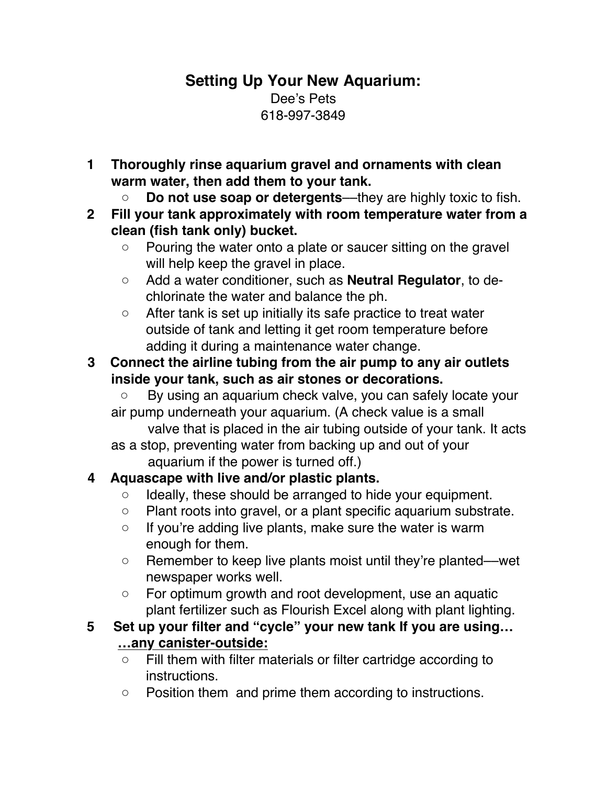# **Setting Up Your New Aquarium:** Dee's Pets 618-997-3849

- **1 Thoroughly rinse aquarium gravel and ornaments with clean warm water, then add them to your tank.**
	- **Do not use soap or detergents**––they are highly toxic to fish.
- **2 Fill your tank approximately with room temperature water from a clean (fish tank only) bucket.**
	- Pouring the water onto a plate or saucer sitting on the gravel will help keep the gravel in place.
	- Add a water conditioner, such as **Neutral Regulator**, to dechlorinate the water and balance the ph.
	- After tank is set up initially its safe practice to treat water outside of tank and letting it get room temperature before adding it during a maintenance water change.
- **3 Connect the airline tubing from the air pump to any air outlets inside your tank, such as air stones or decorations.**
	- By using an aquarium check valve, you can safely locate your air pump underneath your aquarium. (A check value is a small
	- valve that is placed in the air tubing outside of your tank. It acts as a stop, preventing water from backing up and out of your
		- aquarium if the power is turned off.)

# **4 Aquascape with live and/or plastic plants.**

- Ideally, these should be arranged to hide your equipment.
- Plant roots into gravel, or a plant specific aquarium substrate.
- If you're adding live plants, make sure the water is warm enough for them.
- Remember to keep live plants moist until they're planted––wet newspaper works well.
- For optimum growth and root development, use an aquatic plant fertilizer such as Flourish Excel along with plant lighting.

## **5 Set up your filter and "cycle" your new tank If you are using… …any canister-outside:**

- Fill them with filter materials or filter cartridge according to instructions.
- Position them and prime them according to instructions.